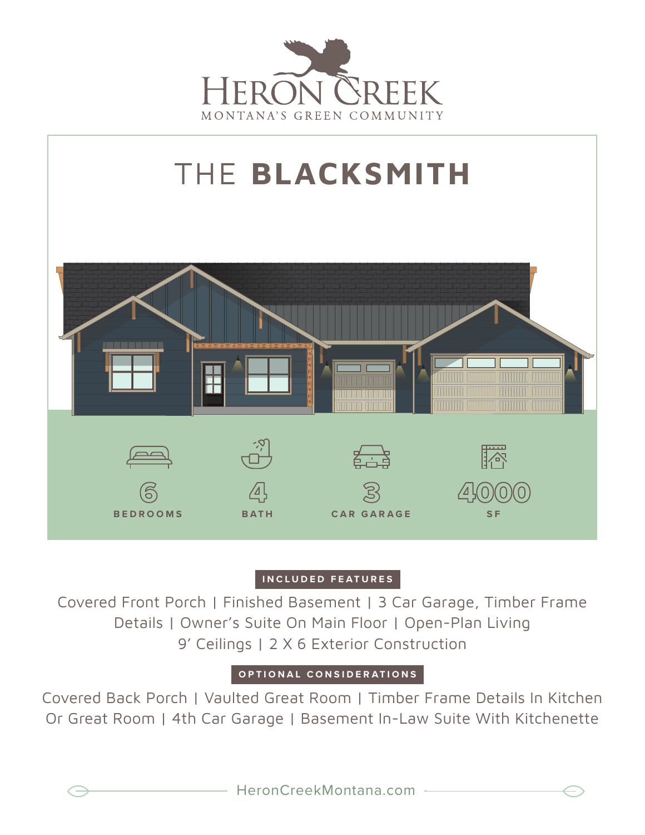



## **INCLUDED FEATURES**

Covered Front Porch | Finished Basement | 3 Car Garage, Timber Frame Details | Owner's Suite On Main Floor | Open-Plan Living 9' Ceilings | 2 X 6 Exterior Construction

## **OPTIONAL CONSIDERATIONS**

Covered Back Porch | Vaulted Great Room | Timber Frame Details In Kitchen Or Great Room | 4th Car Garage | Basement In-Law Suite With Kitchenette

$$
\mathbin{\raisebox{.3pt}{:}\!=}
$$